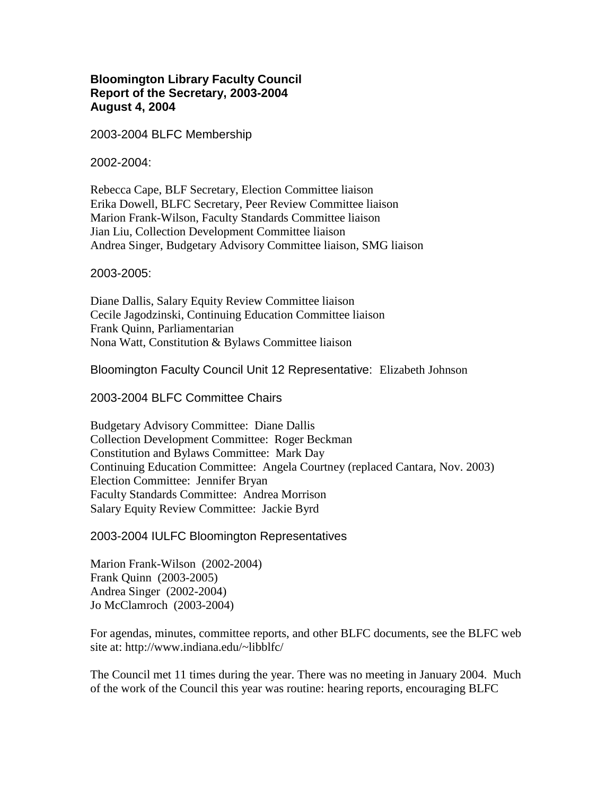## **Bloomington Library Faculty Council Report of the Secretary, 2003-2004 August 4, 2004**

2003-2004 BLFC Membership

2002-2004:

Rebecca Cape, BLF Secretary, Election Committee liaison Erika Dowell, BLFC Secretary, Peer Review Committee liaison Marion Frank-Wilson, Faculty Standards Committee liaison Jian Liu, Collection Development Committee liaison Andrea Singer, Budgetary Advisory Committee liaison, SMG liaison

2003-2005:

Diane Dallis, Salary Equity Review Committee liaison Cecile Jagodzinski, Continuing Education Committee liaison Frank Quinn, Parliamentarian Nona Watt, Constitution & Bylaws Committee liaison

Bloomington Faculty Council Unit 12 Representative: Elizabeth Johnson

2003-2004 BLFC Committee Chairs

Budgetary Advisory Committee: Diane Dallis Collection Development Committee: Roger Beckman Constitution and Bylaws Committee: Mark Day Continuing Education Committee: Angela Courtney (replaced Cantara, Nov. 2003) Election Committee: Jennifer Bryan Faculty Standards Committee: Andrea Morrison Salary Equity Review Committee: Jackie Byrd

2003-2004 IULFC Bloomington Representatives

Marion Frank-Wilson (2002-2004) Frank Quinn (2003-2005) Andrea Singer (2002-2004) Jo McClamroch (2003-2004)

For agendas, minutes, committee reports, and other BLFC documents, see the BLFC web site at: http://www.indiana.edu/~libblfc/

The Council met 11 times during the year. There was no meeting in January 2004. Much of the work of the Council this year was routine: hearing reports, encouraging BLFC